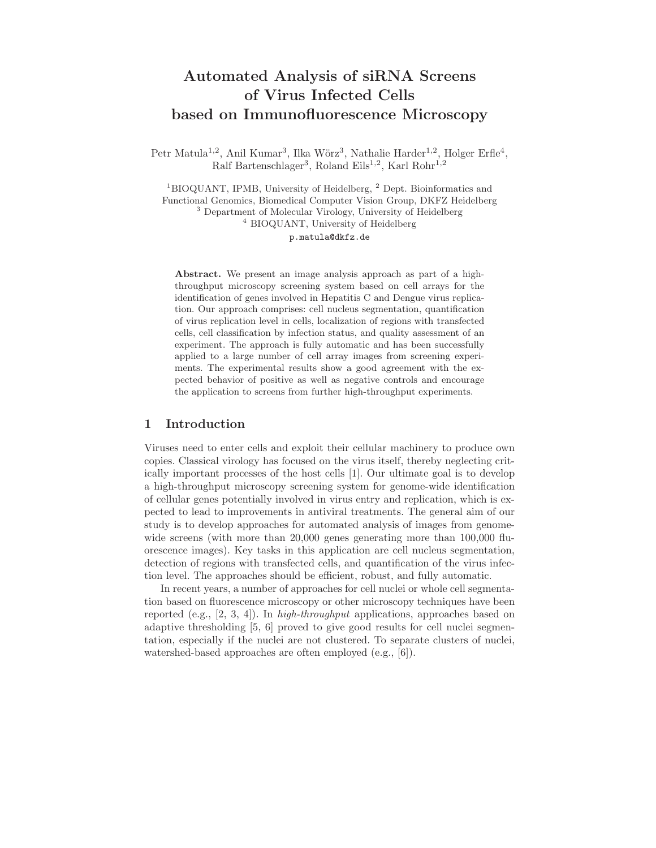# Automated Analysis of siRNA Screens of Virus Infected Cells based on Immunofluorescence Microscopy

Petr Matula<sup>1,2</sup>, Anil Kumar<sup>3</sup>, Ilka Wörz<sup>3</sup>, Nathalie Harder<sup>1,2</sup>, Holger Erfle<sup>4</sup>, Ralf Bartenschlager<sup>3</sup>, Roland Eils<sup>1,2</sup>, Karl Rohr<sup>1,2</sup>

<sup>1</sup>BIOQUANT, IPMB, University of Heidelberg, <sup>2</sup> Dept. Bioinformatics and Functional Genomics, Biomedical Computer Vision Group, DKFZ Heidelberg <sup>3</sup> Department of Molecular Virology, University of Heidelberg <sup>4</sup> BIOQUANT, University of Heidelberg p.matula@dkfz.de

Abstract. We present an image analysis approach as part of a highthroughput microscopy screening system based on cell arrays for the identification of genes involved in Hepatitis C and Dengue virus replication. Our approach comprises: cell nucleus segmentation, quantification of virus replication level in cells, localization of regions with transfected cells, cell classification by infection status, and quality assessment of an experiment. The approach is fully automatic and has been successfully applied to a large number of cell array images from screening experiments. The experimental results show a good agreement with the expected behavior of positive as well as negative controls and encourage the application to screens from further high-throughput experiments.

#### 1 Introduction

Viruses need to enter cells and exploit their cellular machinery to produce own copies. Classical virology has focused on the virus itself, thereby neglecting critically important processes of the host cells [1]. Our ultimate goal is to develop a high-throughput microscopy screening system for genome-wide identification of cellular genes potentially involved in virus entry and replication, which is expected to lead to improvements in antiviral treatments. The general aim of our study is to develop approaches for automated analysis of images from genomewide screens (with more than 20,000 genes generating more than 100,000 fluorescence images). Key tasks in this application are cell nucleus segmentation, detection of regions with transfected cells, and quantification of the virus infection level. The approaches should be efficient, robust, and fully automatic.

In recent years, a number of approaches for cell nuclei or whole cell segmentation based on fluorescence microscopy or other microscopy techniques have been reported (e.g., [2, 3, 4]). In high-throughput applications, approaches based on adaptive thresholding [5, 6] proved to give good results for cell nuclei segmentation, especially if the nuclei are not clustered. To separate clusters of nuclei, watershed-based approaches are often employed (e.g., [6]).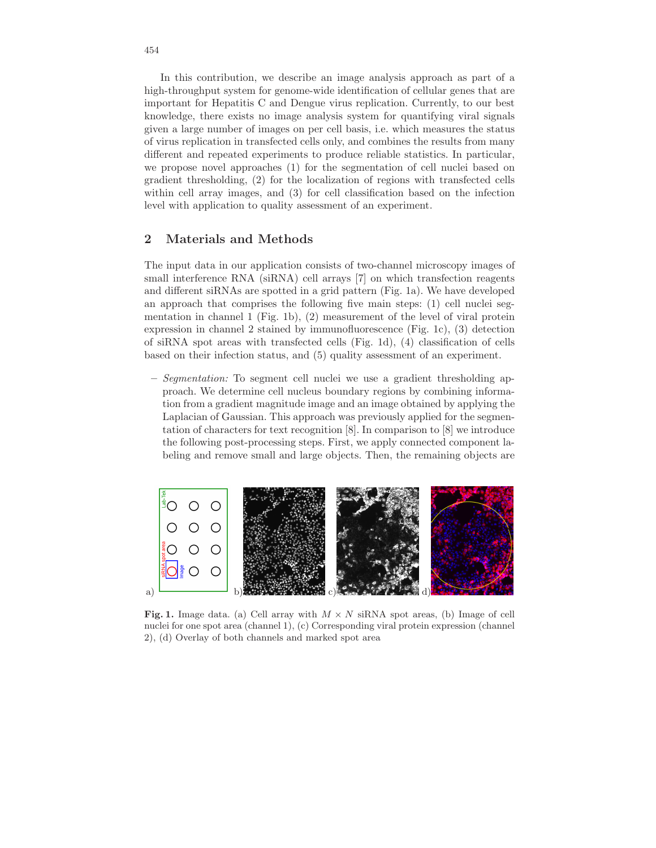In this contribution, we describe an image analysis approach as part of a high-throughput system for genome-wide identification of cellular genes that are important for Hepatitis C and Dengue virus replication. Currently, to our best knowledge, there exists no image analysis system for quantifying viral signals given a large number of images on per cell basis, i.e. which measures the status of virus replication in transfected cells only, and combines the results from many different and repeated experiments to produce reliable statistics. In particular, we propose novel approaches (1) for the segmentation of cell nuclei based on gradient thresholding, (2) for the localization of regions with transfected cells within cell array images, and  $(3)$  for cell classification based on the infection level with application to quality assessment of an experiment.

## 2 Materials and Methods

The input data in our application consists of two-channel microscopy images of small interference RNA (siRNA) cell arrays [7] on which transfection reagents and different siRNAs are spotted in a grid pattern (Fig. 1a). We have developed an approach that comprises the following five main steps: (1) cell nuclei segmentation in channel 1 (Fig. 1b), (2) measurement of the level of viral protein expression in channel 2 stained by immunofluorescence (Fig. 1c), (3) detection of siRNA spot areas with transfected cells (Fig. 1d), (4) classification of cells based on their infection status, and (5) quality assessment of an experiment.

– Segmentation: To segment cell nuclei we use a gradient thresholding approach. We determine cell nucleus boundary regions by combining information from a gradient magnitude image and an image obtained by applying the Laplacian of Gaussian. This approach was previously applied for the segmentation of characters for text recognition [8]. In comparison to [8] we introduce the following post-processing steps. First, we apply connected component labeling and remove small and large objects. Then, the remaining objects are



Fig. 1. Image data. (a) Cell array with  $M \times N$  siRNA spot areas, (b) Image of cell nuclei for one spot area (channel 1), (c) Corresponding viral protein expression (channel 2), (d) Overlay of both channels and marked spot area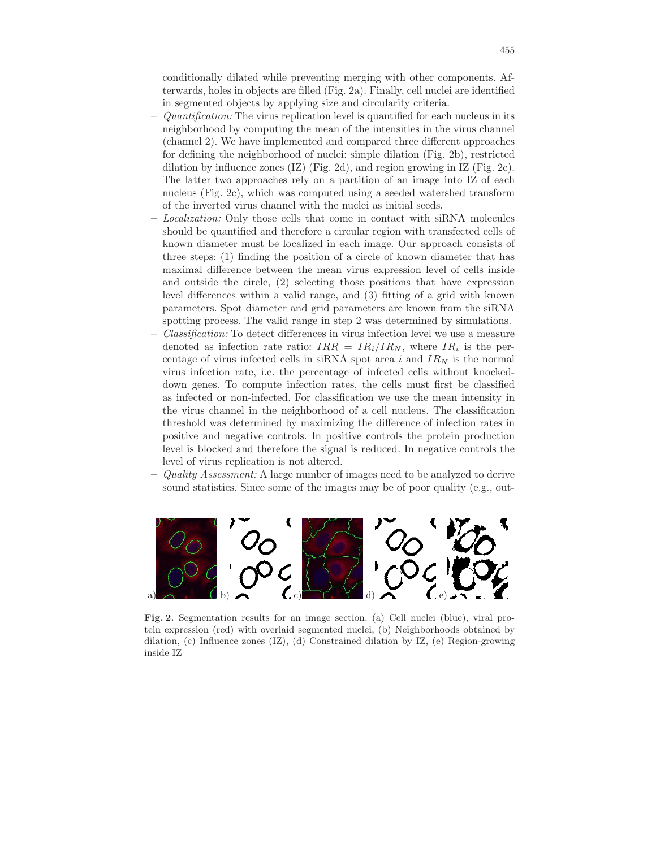conditionally dilated while preventing merging with other components. Afterwards, holes in objects are filled (Fig. 2a). Finally, cell nuclei are identified in segmented objects by applying size and circularity criteria.

- $-$  Quantification: The virus replication level is quantified for each nucleus in its neighborhood by computing the mean of the intensities in the virus channel (channel 2). We have implemented and compared three different approaches for defining the neighborhood of nuclei: simple dilation (Fig. 2b), restricted dilation by influence zones  $(IZ)$  (Fig. 2d), and region growing in IZ (Fig. 2e). The latter two approaches rely on a partition of an image into IZ of each nucleus (Fig. 2c), which was computed using a seeded watershed transform of the inverted virus channel with the nuclei as initial seeds.
- Localization: Only those cells that come in contact with siRNA molecules should be quantified and therefore a circular region with transfected cells of known diameter must be localized in each image. Our approach consists of three steps: (1) finding the position of a circle of known diameter that has maximal difference between the mean virus expression level of cells inside and outside the circle, (2) selecting those positions that have expression level differences within a valid range, and (3) fitting of a grid with known parameters. Spot diameter and grid parameters are known from the siRNA spotting process. The valid range in step 2 was determined by simulations.
- Classification: To detect differences in virus infection level we use a measure denoted as infection rate ratio:  $IRR = IR_i/IR_N$ , where  $IR_i$  is the percentage of virus infected cells in siRNA spot area i and  $IR_N$  is the normal virus infection rate, i.e. the percentage of infected cells without knockeddown genes. To compute infection rates, the cells must first be classified as infected or non-infected. For classification we use the mean intensity in the virus channel in the neighborhood of a cell nucleus. The classification threshold was determined by maximizing the difference of infection rates in positive and negative controls. In positive controls the protein production level is blocked and therefore the signal is reduced. In negative controls the level of virus replication is not altered.
- Quality Assessment: A large number of images need to be analyzed to derive sound statistics. Since some of the images may be of poor quality (e.g., out-



Fig. 2. Segmentation results for an image section. (a) Cell nuclei (blue), viral protein expression (red) with overlaid segmented nuclei, (b) Neighborhoods obtained by dilation, (c) Influence zones (IZ), (d) Constrained dilation by IZ, (e) Region-growing inside IZ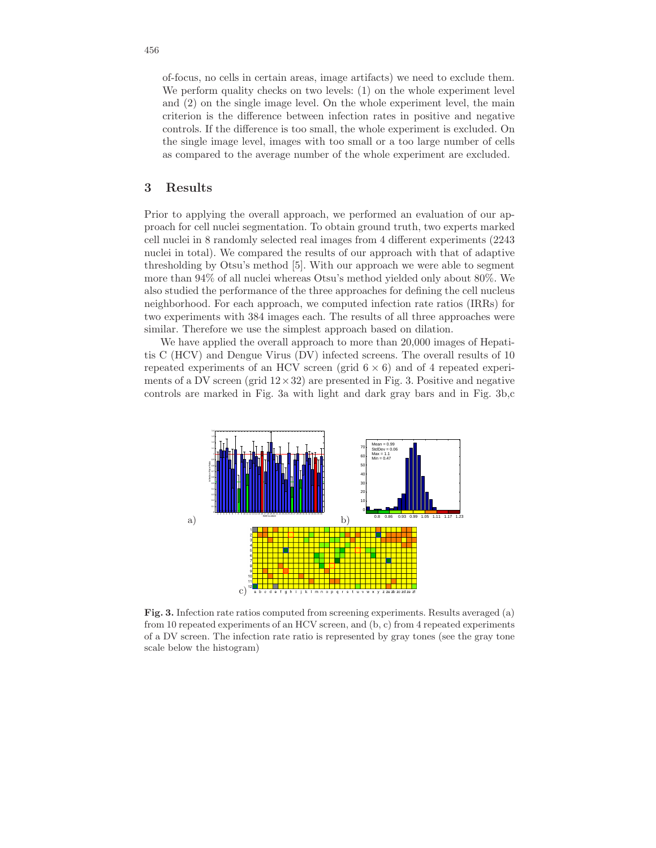of-focus, no cells in certain areas, image artifacts) we need to exclude them. We perform quality checks on two levels: (1) on the whole experiment level and (2) on the single image level. On the whole experiment level, the main criterion is the difference between infection rates in positive and negative controls. If the difference is too small, the whole experiment is excluded. On the single image level, images with too small or a too large number of cells as compared to the average number of the whole experiment are excluded.

## 3 Results

Prior to applying the overall approach, we performed an evaluation of our approach for cell nuclei segmentation. To obtain ground truth, two experts marked cell nuclei in 8 randomly selected real images from 4 different experiments (2243 nuclei in total). We compared the results of our approach with that of adaptive thresholding by Otsu's method [5]. With our approach we were able to segment more than 94% of all nuclei whereas Otsu's method yielded only about 80%. We also studied the performance of the three approaches for defining the cell nucleus neighborhood. For each approach, we computed infection rate ratios (IRRs) for two experiments with 384 images each. The results of all three approaches were similar. Therefore we use the simplest approach based on dilation.

We have applied the overall approach to more than 20,000 images of Hepatitis C (HCV) and Dengue Virus (DV) infected screens. The overall results of 10 repeated experiments of an HCV screen (grid  $6 \times 6$ ) and of 4 repeated experiments of a DV screen (grid  $12 \times 32$ ) are presented in Fig. 3. Positive and negative controls are marked in Fig. 3a with light and dark gray bars and in Fig. 3b,c



Fig. 3. Infection rate ratios computed from screening experiments. Results averaged (a) from 10 repeated experiments of an HCV screen, and (b, c) from 4 repeated experiments of a DV screen. The infection rate ratio is represented by gray tones (see the gray tone scale below the histogram)